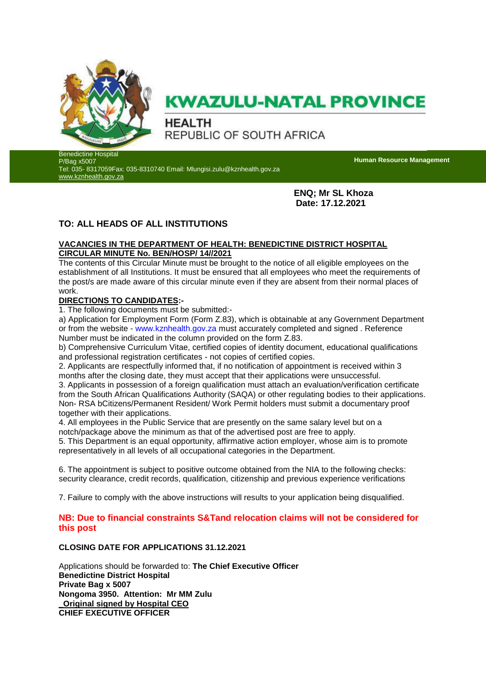

# **KWAZULU-NATAL PROVINCE**

**HEALTH** REPUBLIC OF SOUTH AFRICA

Benedictine Hospital P/Bag x5007

Tel: 035- 8317059Fax: 035-8310740 Email: Mlungisi.zulu@kznhealth.gov.za [www.kznhealth.gov.za](http://www.kznhealth.gov.za/)

**Human Resource Management**

**ENQ; Mr SL Khoza Date: 17.12.2021**

# **TO: ALL HEADS OF ALL INSTITUTIONS**

### **VACANCIES IN THE DEPARTMENT OF HEALTH: BENEDICTINE DISTRICT HOSPITAL CIRCULAR MINUTE No. BEN/HOSP/ 14//2021**

The contents of this Circular Minute must be brought to the notice of all eligible employees on the establishment of all Institutions. It must be ensured that all employees who meet the requirements of the post/s are made aware of this circular minute even if they are absent from their normal places of work.

## **DIRECTIONS TO CANDIDATES:-**

1. The following documents must be submitted:-

a) Application for Employment Form (Form Z.83), which is obtainable at any Government Department or from the website - www.kznhealth.gov.za must accurately completed and signed . Reference Number must be indicated in the column provided on the form Z.83.

b) Comprehensive Curriculum Vitae, certified copies of identity document, educational qualifications and professional registration certificates - not copies of certified copies.

2. Applicants are respectfully informed that, if no notification of appointment is received within 3 months after the closing date, they must accept that their applications were unsuccessful.

3. Applicants in possession of a foreign qualification must attach an evaluation/verification certificate from the South African Qualifications Authority (SAQA) or other regulating bodies to their applications. Non- RSA bCitizens/Permanent Resident/ Work Permit holders must submit a documentary proof together with their applications.

4. All employees in the Public Service that are presently on the same salary level but on a notch/package above the minimum as that of the advertised post are free to apply.

5. This Department is an equal opportunity, affirmative action employer, whose aim is to promote representatively in all levels of all occupational categories in the Department.

6. The appointment is subject to positive outcome obtained from the NIA to the following checks: security clearance, credit records, qualification, citizenship and previous experience verifications

7. Failure to comply with the above instructions will results to your application being disqualified.

## **NB: Due to financial constraints S&Tand relocation claims will not be considered for this post**

## **CLOSING DATE FOR APPLICATIONS 31.12.2021**

Applications should be forwarded to: **The Chief Executive Officer Benedictine District Hospital Private Bag x 5007 Nongoma 3950. Attention: Mr MM Zulu \_Original signed by Hospital CEO CHIEF EXECUTIVE OFFICER**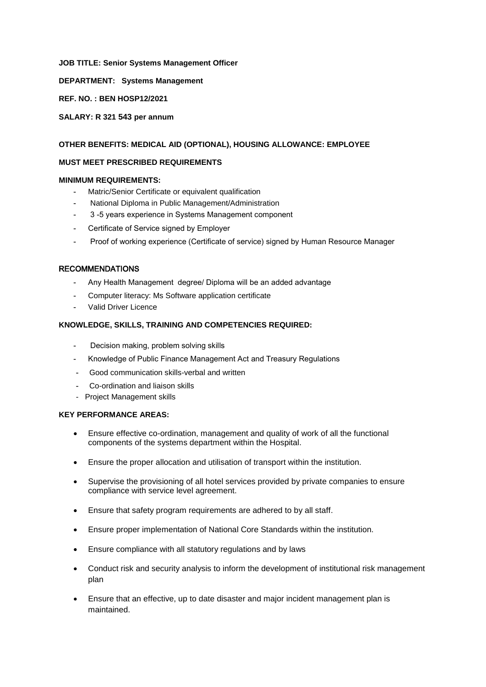#### **JOB TITLE: Senior Systems Management Officer**

**DEPARTMENT: Systems Management** 

**REF. NO. : BEN HOSP12/2021**

**SALARY: R 321 543 per annum**

#### **OTHER BENEFITS: MEDICAL AID (OPTIONAL), HOUSING ALLOWANCE: EMPLOYEE**

#### **MUST MEET PRESCRIBED REQUIREMENTS**

#### **MINIMUM REQUIREMENTS:**

- Matric/Senior Certificate or equivalent qualification
- National Diploma in Public Management/Administration
- 3 -5 years experience in Systems Management component
- Certificate of Service signed by Employer
- Proof of working experience (Certificate of service) signed by Human Resource Manager

#### **RECOMMENDATIONS**

- Any Health Management degree/ Diploma will be an added advantage
- Computer literacy: Ms Software application certificate
- Valid Driver Licence

#### **KNOWLEDGE, SKILLS, TRAINING AND COMPETENCIES REQUIRED:**

- Decision making, problem solving skills
- Knowledge of Public Finance Management Act and Treasury Regulations
- Good communication skills-verbal and written
- Co-ordination and liaison skills
- Project Management skills

#### **KEY PERFORMANCE AREAS:**

- Ensure effective co-ordination, management and quality of work of all the functional components of the systems department within the Hospital.
- Ensure the proper allocation and utilisation of transport within the institution.
- Supervise the provisioning of all hotel services provided by private companies to ensure compliance with service level agreement.
- Ensure that safety program requirements are adhered to by all staff.
- Ensure proper implementation of National Core Standards within the institution.
- Ensure compliance with all statutory regulations and by laws
- Conduct risk and security analysis to inform the development of institutional risk management plan
- Ensure that an effective, up to date disaster and major incident management plan is maintained.